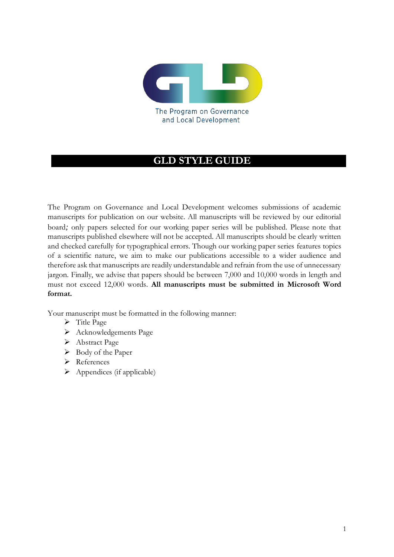

#### **GLD STYLE GUIDE**

The Program on Governance and Local Development welcomes submissions of academic manuscripts for publication on our website. All manuscripts will be reviewed by our editorial board*;* only papers selected for our working paper series will be published. Please note that manuscripts published elsewhere will not be accepted. All manuscripts should be clearly written and checked carefully for typographical errors. Though our working paper series features topics of a scientific nature, we aim to make our publications accessible to a wider audience and therefore ask that manuscripts are readily understandable and refrain from the use of unnecessary jargon. Finally, we advise that papers should be between 7,000 and 10,000 words in length and must not exceed 12,000 words. **All manuscripts must be submitted in Microsoft Word format.** 

Your manuscript must be formatted in the following manner:

- ➢ Title Page
- ➢ Acknowledgements Page
- ➢ Abstract Page
- ➢ Body of the Paper
- ➢ References
- $\triangleright$  Appendices (if applicable)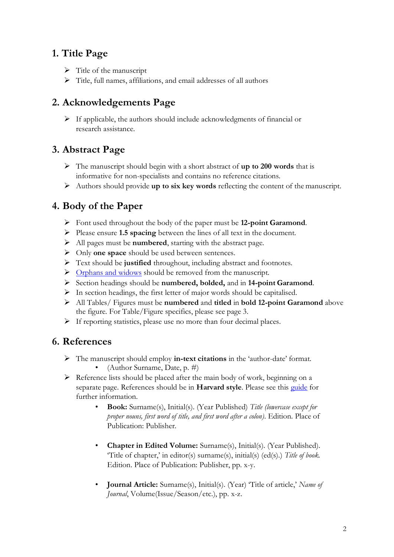### **1. Title Page**

- $\triangleright$  Title of the manuscript
- ➢ Title, full names, affiliations, and email addresses of all authors

# **2. Acknowledgements Page**

➢ If applicable, the authors should include acknowledgments of financial or research assistance.

## **3. Abstract Page**

- ➢ The manuscript should begin with a short abstract of **up to 200 words** that is informative for non-specialists and contains no reference citations.
- ➢ Authors should provide **up to six key words** reflecting the content of the manuscript.

## **4. Body of the Paper**

- ➢ Font used throughout the body of the paper must be **12-point Garamond**.
- ➢ Please ensure **1.5 spacing** between the lines of all text in the document.
- ➢ All pages must be **numbered**, starting with the abstract page.
- ➢ Only **one space** should be used between sentences.
- ➢ Text should be **justified** throughout, including abstract and footnotes.
- ➢ [Orphans and widows](https://en.wikipedia.org/wiki/Widows_and_orphans) should be removed from the manuscript.
- ➢ Section headings should be **numbered, bolded,** and in **14-point Garamond**.
- ➢ In section headings, the first letter of major words should be capitalised.
- ➢ All Tables/ Figures must be **numbered** and **titled** in **bold 12-point Garamond** above the figure. For Table/Figure specifics, please see page 3.
- ➢ If reporting statistics, please use no more than four decimal places.

#### **6. References**

- ➢ The manuscript should employ **in-text citations** in the 'author-date' format. • (Author Surname, Date, p. #)
- ➢ Reference lists should be placed after the main body of work, beginning on a separate page. References should be in **Harvard style**. Please see this [guide](https://www.mendeley.com/guides/harvard-citation-guide) for further information.
	- **Book:** Surname(s), Initial(s). (Year Published) *Title (lowercase except for proper nouns, first word of title, and first word after a colon)*. Edition. Place of Publication: Publisher.
	- **Chapter in Edited Volume:** Surname(s), Initial(s). (Year Published). 'Title of chapter,' in editor(s) surname(s), initial(s) (ed(s).) *Title of book.*  Edition. Place of Publication: Publisher, pp. x-y.
	- **Journal Article:** Surname(s), Initial(s). (Year) 'Title of article,' *Name of Journal*, Volume(Issue/Season/etc.), pp. x-z.